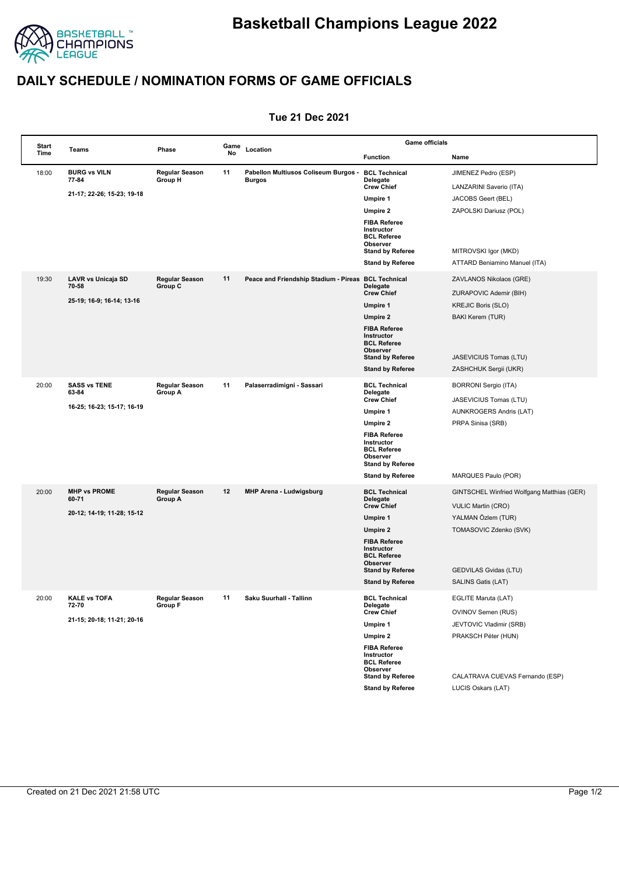

## **DAILY SCHEDULE / NOMINATION FORMS OF GAME OFFICIALS**

## **Tue 21 Dec 2021**

| <b>Start</b><br>Time | Teams                                                      | Phase                            | Game<br>No | Location                                              | <b>Game officials</b>                                                                                             |                                            |  |
|----------------------|------------------------------------------------------------|----------------------------------|------------|-------------------------------------------------------|-------------------------------------------------------------------------------------------------------------------|--------------------------------------------|--|
|                      |                                                            |                                  |            |                                                       | <b>Function</b>                                                                                                   | Name                                       |  |
| 18:00                | <b>BURG vs VILN</b><br>77-84                               | <b>Regular Season</b><br>Group H | 11         | Pabellon Multiusos Coliseum Burgos -<br><b>Burgos</b> | <b>BCL Technical</b><br>Delegate                                                                                  | JIMENEZ Pedro (ESP)                        |  |
|                      | 21-17; 22-26; 15-23; 19-18                                 |                                  |            |                                                       | <b>Crew Chief</b>                                                                                                 | LANZARINI Saverio (ITA)                    |  |
|                      |                                                            |                                  |            |                                                       | Umpire 1                                                                                                          | JACOBS Geert (BEL)                         |  |
|                      |                                                            |                                  |            |                                                       | <b>Umpire 2</b><br><b>FIBA Referee</b><br>Instructor<br><b>BCL Referee</b><br>Observer                            | ZAPOLSKI Dariusz (POL)                     |  |
|                      |                                                            |                                  |            |                                                       | <b>Stand by Referee</b>                                                                                           | MITROVSKI Igor (MKD)                       |  |
|                      |                                                            |                                  |            |                                                       | <b>Stand by Referee</b>                                                                                           | ATTARD Beniamino Manuel (ITA)              |  |
| 19:30                | LAVR vs Unicaja SD<br>70 58<br>25 19; 16 9; 16 14; 13 16   | <b>Regular Season</b><br>Group C | 11         | Peace and Friendship Stadium - Pireas                 | <b>BCL Technical</b><br>Delegate                                                                                  | ZAVLANOS Nikolaos (GRE)                    |  |
|                      |                                                            |                                  |            |                                                       | <b>Crew Chief</b>                                                                                                 | ZURAPOVIC Ademir (BIH)                     |  |
|                      |                                                            |                                  |            |                                                       | Umpire 1                                                                                                          | <b>KREJIC Boris (SLO)</b>                  |  |
|                      |                                                            |                                  |            |                                                       | <b>Umpire 2</b><br><b>FIBA Referee</b><br>Instructor<br><b>BCL Referee</b><br>Observer                            | <b>BAKI Kerem (TUR)</b>                    |  |
|                      |                                                            |                                  |            |                                                       | <b>Stand by Referee</b>                                                                                           | JASEVICIUS Tomas (LTU)                     |  |
|                      |                                                            |                                  |            |                                                       | <b>Stand by Referee</b>                                                                                           | ZASHCHUK Sergii (UKR)                      |  |
| 20:00                | <b>SASS vs TENE</b><br>63-84                               | <b>Regular Season</b><br>Group A | 11         | Palaserradimigni - Sassari                            | <b>BCL Technical</b><br>Delegate                                                                                  | <b>BORRONI Sergio (ITA)</b>                |  |
|                      | 16-25; 16-23; 15-17; 16-19                                 |                                  |            |                                                       | <b>Crew Chief</b>                                                                                                 | JASEVICIUS Tomas (LTU)                     |  |
|                      |                                                            |                                  |            |                                                       | Umpire 1                                                                                                          | <b>AUNKROGERS Andris (LAT)</b>             |  |
|                      |                                                            |                                  |            |                                                       | <b>Umpire 2</b><br><b>FIBA Referee</b><br>Instructor<br><b>BCL Referee</b><br>Observer<br><b>Stand by Referee</b> | PRPA Sinisa (SRB)                          |  |
|                      |                                                            |                                  |            |                                                       | <b>Stand by Referee</b>                                                                                           | MARQUES Paulo (POR)                        |  |
| 20:00                | <b>MHP vs PROME</b><br>60-71                               | <b>Regular Season</b><br>Group A | 12         | <b>MHP Arena - Ludwigsburg</b>                        | <b>BCL Technical</b><br>Delegate                                                                                  | GINTSCHEL Winfried Wolfgang Matthias (GER) |  |
|                      | 20 12; 14 19; 11 28; 15 12                                 |                                  |            |                                                       | <b>Crew Chief</b>                                                                                                 | <b>VULIC Martin (CRO)</b>                  |  |
|                      |                                                            |                                  |            |                                                       | Umpire 1                                                                                                          | YALMAN Özlem (TUR)                         |  |
|                      |                                                            |                                  |            |                                                       | <b>Umpire 2</b><br><b>FIBA Referee</b><br>Instructor<br><b>BCL Referee</b><br>Observer                            | TOMASOVIC Zdenko (SVK)                     |  |
|                      |                                                            |                                  |            |                                                       | <b>Stand by Referee</b>                                                                                           | GEDVILAS Gvidas (LTU)                      |  |
|                      |                                                            |                                  |            |                                                       | <b>Stand by Referee</b>                                                                                           | SALINS Gatis (LAT)                         |  |
| 20:00                | <b>KALE vs TOFA</b><br>72.70<br>21-15; 20-18; 11-21; 20-16 | <b>Regular Season</b><br>Group F | 11         | Saku Suurhall - Tallinn                               | <b>BCL Technical</b><br>Delegate                                                                                  | EGLITE Maruta (LAT)                        |  |
|                      |                                                            |                                  |            |                                                       | <b>Crew Chief</b><br>Umpire 1                                                                                     | OVINOV Semen (RUS)                         |  |
|                      |                                                            |                                  |            |                                                       | Umpire 2                                                                                                          | JEVTOVIC Vladimir (SRB)                    |  |
|                      |                                                            |                                  |            |                                                       | <b>FIBA Referee</b><br>Instructor<br><b>BCL Referee</b><br>Observer                                               | PRAKSCH Péter (HUN)                        |  |
|                      |                                                            |                                  |            |                                                       | <b>Stand by Referee</b>                                                                                           | CALATRAVA CUEVAS Fernando (ESP)            |  |
|                      |                                                            |                                  |            |                                                       | <b>Stand by Referee</b>                                                                                           | LUCIS Oskars (LAT)                         |  |